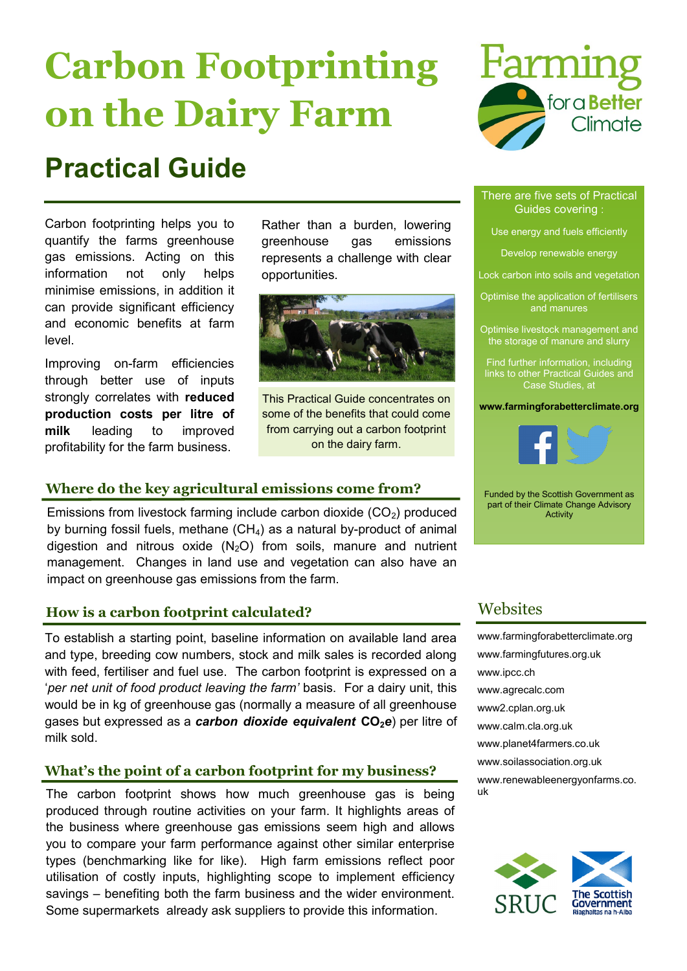# **Carbon Footprinting on the Dairy Farm**

# **Practical Guide**

Carbon footprinting helps you to quantify the farms greenhouse gas emissions. Acting on this information not only helps minimise emissions, in addition it can provide significant efficiency and economic benefits at farm level.

Improving on-farm efficiencies through better use of inputs strongly correlates with **reduced production costs per litre of milk** leading to improved profitability for the farm business.

Rather than a burden, lowering greenhouse gas emissions represents a challenge with clear opportunities.



This Practical Guide concentrates on some of the benefits that could come from carrying out a carbon footprint on the dairy farm.

### **Where do the key agricultural emissions come from?**

Emissions from livestock farming include carbon dioxide  $(CO<sub>2</sub>)$  produced by burning fossil fuels, methane  $(CH_4)$  as a natural by-product of animal digestion and nitrous oxide  $(N<sub>2</sub>O)$  from soils, manure and nutrient management. Changes in land use and vegetation can also have an impact on greenhouse gas emissions from the farm.

### **How is a carbon footprint calculated?**

To establish a starting point, baseline information on available land area and type, breeding cow numbers, stock and milk sales is recorded along with feed, fertiliser and fuel use. The carbon footprint is expressed on a '*per net unit of food product leaving the farm'* basis. For a dairy unit, this would be in kg of greenhouse gas (normally a measure of all greenhouse gases but expressed as a *carbon dioxide equivalent* **CO2***e*) per litre of milk sold.

### **What's the point of a carbon footprint for my business?**

The carbon footprint shows how much greenhouse gas is being produced through routine activities on your farm. It highlights areas of the business where greenhouse gas emissions seem high and allows you to compare your farm performance against other similar enterprise types (benchmarking like for like). High farm emissions reflect poor utilisation of costly inputs, highlighting scope to implement efficiency savings – benefiting both the farm business and the wider environment. Some supermarkets already ask suppliers to provide this information.



#### There are five sets of Practical Guides covering :

Use energy and fuels efficiently

Develop renewable energy

- Lock carbon into soils and vegetation
- Optimise the application of fertilisers and manures
- Optimise livestock management and the storage of manure and slurry
- Find further information, including links to other Practical Guides and Case Studies, at

**www.farmingforabetterclimate.org**



Funded by the Scottish Government as part of their Climate Change Advisory Activity

## **Websites**

[www.farmingforabetterclimate.org](wwwfarmingforabetterclimate.org) [www.farmingfutures.org.uk](http://www.farmingfutures.org.uk) [www.ipcc.ch](http://www.ipcc.ch) [www.agrecalc.com](http://www.agrecalc.com) <www2.cplan.org.uk> [www.calm.cla.org.uk](http://www.calm.cla.org.uk) [www.planet4farmers.co.uk](http://www.planet4farmers.co.uk) [www.soilassociation.org.uk](http://www.soilassociation.org.uk) [www.renewableenergyonfarms.co.](http://www.renewableenergyonfarms.co.uk) [uk](http://www.renewableenergyonfarms.co.uk)